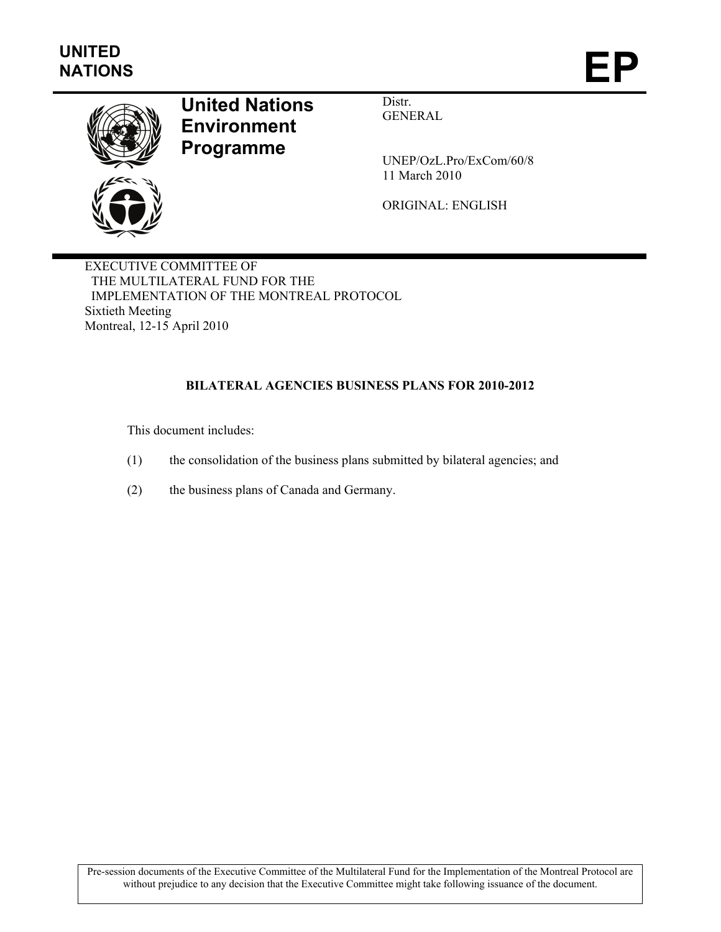

# **United Nations Environment Programme**

Distr. GENERAL

UNEP/OzL.Pro/ExCom/60/8 11 March 2010

ORIGINAL: ENGLISH

EXECUTIVE COMMITTEE OF THE MULTILATERAL FUND FOR THE IMPLEMENTATION OF THE MONTREAL PROTOCOL Sixtieth Meeting Montreal, 12-15 April 2010

## **BILATERAL AGENCIES BUSINESS PLANS FOR 2010-2012**

This document includes:

- (1) the consolidation of the business plans submitted by bilateral agencies; and
- (2) the business plans of Canada and Germany.

Pre-session documents of the Executive Committee of the Multilateral Fund for the Implementation of the Montreal Protocol are without prejudice to any decision that the Executive Committee might take following issuance of the document.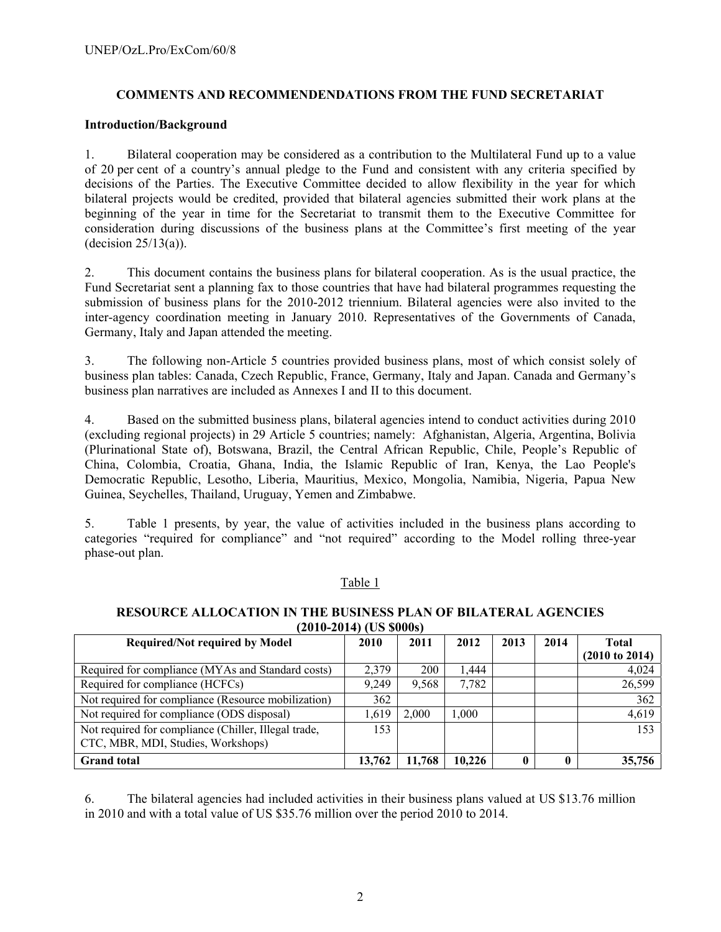## **COMMENTS AND RECOMMENDENDATIONS FROM THE FUND SECRETARIAT**

#### **Introduction/Background**

1. Bilateral cooperation may be considered as a contribution to the Multilateral Fund up to a value of 20 per cent of a country's annual pledge to the Fund and consistent with any criteria specified by decisions of the Parties. The Executive Committee decided to allow flexibility in the year for which bilateral projects would be credited, provided that bilateral agencies submitted their work plans at the beginning of the year in time for the Secretariat to transmit them to the Executive Committee for consideration during discussions of the business plans at the Committee's first meeting of the year (decision  $25/13(a)$ ).

2. This document contains the business plans for bilateral cooperation. As is the usual practice, the Fund Secretariat sent a planning fax to those countries that have had bilateral programmes requesting the submission of business plans for the 2010-2012 triennium. Bilateral agencies were also invited to the inter-agency coordination meeting in January 2010. Representatives of the Governments of Canada, Germany, Italy and Japan attended the meeting.

3. The following non-Article 5 countries provided business plans, most of which consist solely of business plan tables: Canada, Czech Republic, France, Germany, Italy and Japan. Canada and Germany's business plan narratives are included as Annexes I and II to this document.

4. Based on the submitted business plans, bilateral agencies intend to conduct activities during 2010 (excluding regional projects) in 29 Article 5 countries; namely: Afghanistan, Algeria, Argentina, Bolivia (Plurinational State of), Botswana, Brazil, the Central African Republic, Chile, People's Republic of China, Colombia, Croatia, Ghana, India, the Islamic Republic of Iran, Kenya, the Lao People's Democratic Republic, Lesotho, Liberia, Mauritius, Mexico, Mongolia, Namibia, Nigeria, Papua New Guinea, Seychelles, Thailand, Uruguay, Yemen and Zimbabwe.

5. Table 1 presents, by year, the value of activities included in the business plans according to categories "required for compliance" and "not required" according to the Model rolling three-year phase-out plan.

#### Table 1

#### **RESOURCE ALLOCATION IN THE BUSINESS PLAN OF BILATERAL AGENCIES (2010-2014) (US \$000s)**

|                                                      | ,      |            |        |      |      |                           |  |  |  |
|------------------------------------------------------|--------|------------|--------|------|------|---------------------------|--|--|--|
| <b>Required/Not required by Model</b>                | 2010   | 2011       | 2012   | 2013 | 2014 | Total                     |  |  |  |
|                                                      |        |            |        |      |      | $(2010 \text{ to } 2014)$ |  |  |  |
| Required for compliance (MYAs and Standard costs)    | 2.379  | <b>200</b> | 1.444  |      |      | 4,024                     |  |  |  |
| Required for compliance (HCFCs)                      | 9.249  | 9,568      | 7,782  |      |      | 26,599                    |  |  |  |
| Not required for compliance (Resource mobilization)  | 362    |            |        |      |      | 362                       |  |  |  |
| Not required for compliance (ODS disposal)           | 1.619  | 2.000      | 1,000  |      |      | 4,619                     |  |  |  |
| Not required for compliance (Chiller, Illegal trade, | 153    |            |        |      |      | 153                       |  |  |  |
| CTC, MBR, MDI, Studies, Workshops)                   |        |            |        |      |      |                           |  |  |  |
| <b>Grand</b> total                                   | 13,762 | 11.768     | 10,226 |      |      | 35,756                    |  |  |  |

6. The bilateral agencies had included activities in their business plans valued at US \$13.76 million in 2010 and with a total value of US \$35.76 million over the period 2010 to 2014.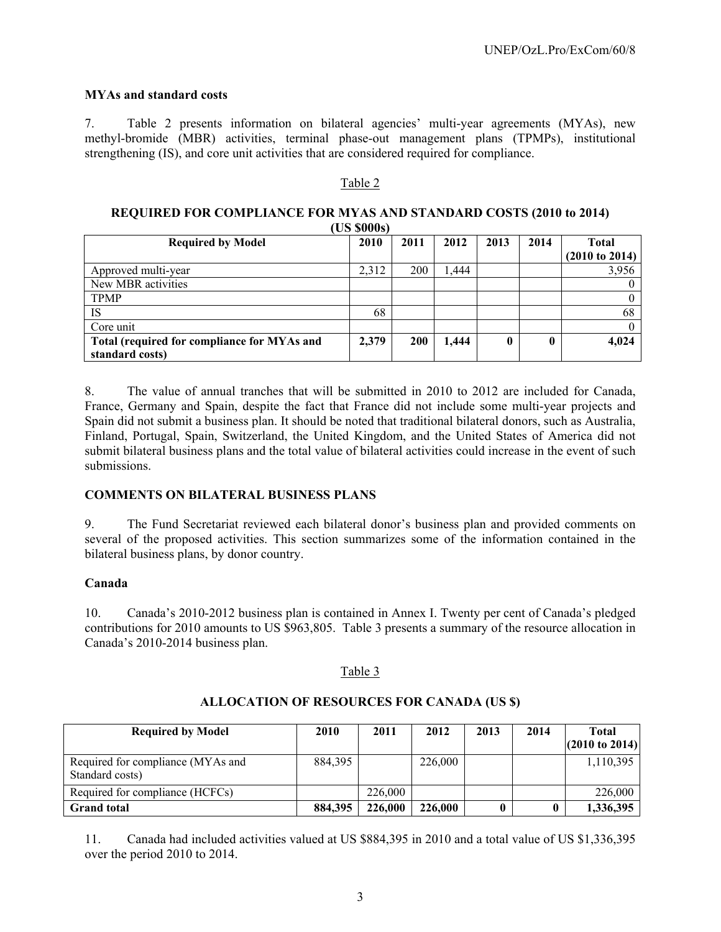#### **MYAs and standard costs**

7. Table 2 presents information on bilateral agencies' multi-year agreements (MYAs), new methyl-bromide (MBR) activities, terminal phase-out management plans (TPMPs), institutional strengthening (IS), and core unit activities that are considered required for compliance.

#### Table 2

#### **REQUIRED FOR COMPLIANCE FOR MYAS AND STANDARD COSTS (2010 to 2014) (US \$000s)**

| <b>Required by Model</b>                                       | UN PUUDI<br>2010 | 2011 | 2012  | 2013 | 2014 | <b>Total</b><br>$(2010 \text{ to } 2014)$ |
|----------------------------------------------------------------|------------------|------|-------|------|------|-------------------------------------------|
| Approved multi-year                                            | 2,312            | 200  | 1,444 |      |      | 3,956                                     |
| New MBR activities                                             |                  |      |       |      |      |                                           |
| <b>TPMP</b>                                                    |                  |      |       |      |      |                                           |
| IS                                                             | 68               |      |       |      |      | 68                                        |
| Core unit                                                      |                  |      |       |      |      |                                           |
| Total (required for compliance for MYAs and<br>standard costs) | 2,379            | 200  | 1,444 | 0    |      | 4,024                                     |

8. The value of annual tranches that will be submitted in 2010 to 2012 are included for Canada, France, Germany and Spain, despite the fact that France did not include some multi-year projects and Spain did not submit a business plan. It should be noted that traditional bilateral donors, such as Australia, Finland, Portugal, Spain, Switzerland, the United Kingdom, and the United States of America did not submit bilateral business plans and the total value of bilateral activities could increase in the event of such submissions.

#### **COMMENTS ON BILATERAL BUSINESS PLANS**

9. The Fund Secretariat reviewed each bilateral donor's business plan and provided comments on several of the proposed activities. This section summarizes some of the information contained in the bilateral business plans, by donor country.

#### **Canada**

10. Canada's 2010-2012 business plan is contained in Annex I. Twenty per cent of Canada's pledged contributions for 2010 amounts to US \$963,805. Table 3 presents a summary of the resource allocation in Canada's 2010-2014 business plan.

#### Table 3

#### **Required by Model 2010 2011 2012 2013 2014 Total (2010 to 2014)** Required for compliance (MYAs and Standard costs) 884,395 226,000 1,110,395 Required for compliance (HCFCs) 226,000 226,000 226,000 226,000 **Grand total 884,395 226,000 226,000 0 0 1,336,395**

#### **ALLOCATION OF RESOURCES FOR CANADA (US \$)**

11. Canada had included activities valued at US \$884,395 in 2010 and a total value of US \$1,336,395 over the period 2010 to 2014.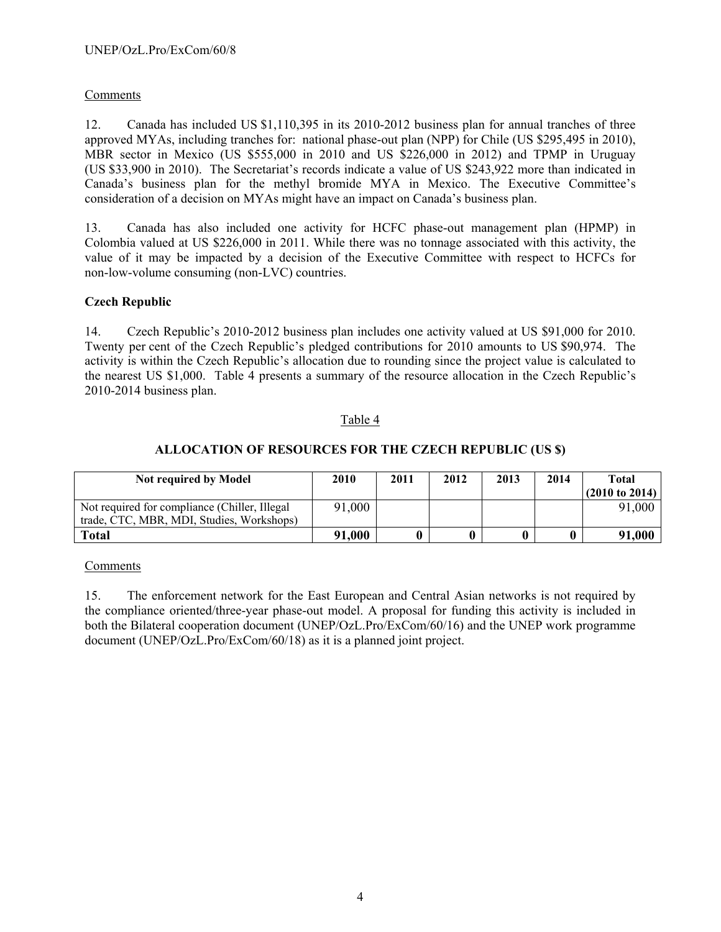## Comments

12. Canada has included US \$1,110,395 in its 2010-2012 business plan for annual tranches of three approved MYAs, including tranches for: national phase-out plan (NPP) for Chile (US \$295,495 in 2010), MBR sector in Mexico (US \$555,000 in 2010 and US \$226,000 in 2012) and TPMP in Uruguay (US \$33,900 in 2010). The Secretariat's records indicate a value of US \$243,922 more than indicated in Canada's business plan for the methyl bromide MYA in Mexico. The Executive Committee's consideration of a decision on MYAs might have an impact on Canada's business plan.

13. Canada has also included one activity for HCFC phase-out management plan (HPMP) in Colombia valued at US \$226,000 in 2011. While there was no tonnage associated with this activity, the value of it may be impacted by a decision of the Executive Committee with respect to HCFCs for non-low-volume consuming (non-LVC) countries.

## **Czech Republic**

14. Czech Republic's 2010-2012 business plan includes one activity valued at US \$91,000 for 2010. Twenty per cent of the Czech Republic's pledged contributions for 2010 amounts to US \$90,974. The activity is within the Czech Republic's allocation due to rounding since the project value is calculated to the nearest US \$1,000. Table 4 presents a summary of the resource allocation in the Czech Republic's 2010-2014 business plan.

#### Table 4

## **ALLOCATION OF RESOURCES FOR THE CZECH REPUBLIC (US \$)**

| <b>Not required by Model</b>                  | 2010   | 2011 | 2012 | 2013 | 2014 | Total                     |
|-----------------------------------------------|--------|------|------|------|------|---------------------------|
|                                               |        |      |      |      |      | $(2010 \text{ to } 2014)$ |
| Not required for compliance (Chiller, Illegal | 91,000 |      |      |      |      | 91,000                    |
| trade, CTC, MBR, MDI, Studies, Workshops)     |        |      |      |      |      |                           |
| Total                                         | 91,000 |      |      |      |      | 91,000                    |

#### Comments

15. The enforcement network for the East European and Central Asian networks is not required by the compliance oriented/three-year phase-out model. A proposal for funding this activity is included in both the Bilateral cooperation document (UNEP/OzL.Pro/ExCom/60/16) and the UNEP work programme document (UNEP/OzL.Pro/ExCom/60/18) as it is a planned joint project.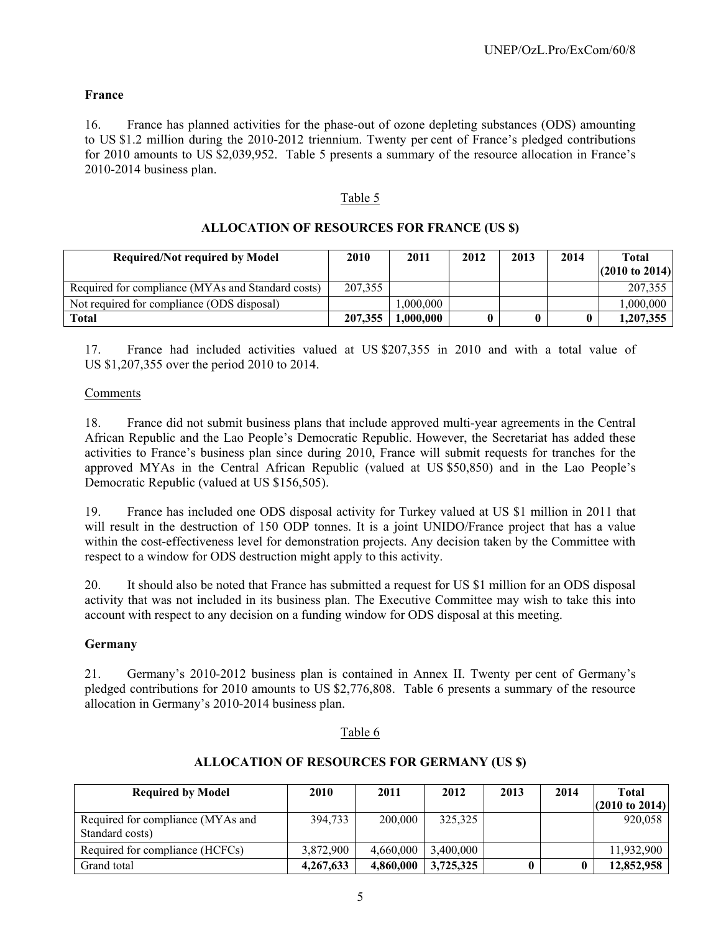## **France**

16. France has planned activities for the phase-out of ozone depleting substances (ODS) amounting to US \$1.2 million during the 2010-2012 triennium. Twenty per cent of France's pledged contributions for 2010 amounts to US \$2,039,952. Table 5 presents a summary of the resource allocation in France's 2010-2014 business plan.

#### Table 5

| <b>Required/Not required by Model</b>             | 2010    | 2011      | 2012 | 2013 | 2014 | Total<br>$(2010 \text{ to } 2014)$ |
|---------------------------------------------------|---------|-----------|------|------|------|------------------------------------|
| Required for compliance (MYAs and Standard costs) | 207,355 |           |      |      |      | 207,355                            |
| Not required for compliance (ODS disposal)        |         | .000.000  |      |      |      | .000.000                           |
| <b>Total</b>                                      | 207,355 | 1,000,000 | 0    |      |      | 1.207.355                          |

## **ALLOCATION OF RESOURCES FOR FRANCE (US \$)**

17. France had included activities valued at US \$207,355 in 2010 and with a total value of US \$1,207,355 over the period 2010 to 2014.

#### Comments

18. France did not submit business plans that include approved multi-year agreements in the Central African Republic and the Lao People's Democratic Republic. However, the Secretariat has added these activities to France's business plan since during 2010, France will submit requests for tranches for the approved MYAs in the Central African Republic (valued at US \$50,850) and in the Lao People's Democratic Republic (valued at US \$156,505).

19. France has included one ODS disposal activity for Turkey valued at US \$1 million in 2011 that will result in the destruction of 150 ODP tonnes. It is a joint UNIDO/France project that has a value within the cost-effectiveness level for demonstration projects. Any decision taken by the Committee with respect to a window for ODS destruction might apply to this activity.

20. It should also be noted that France has submitted a request for US \$1 million for an ODS disposal activity that was not included in its business plan. The Executive Committee may wish to take this into account with respect to any decision on a funding window for ODS disposal at this meeting.

#### **Germany**

21. Germany's 2010-2012 business plan is contained in Annex II. Twenty per cent of Germany's pledged contributions for 2010 amounts to US \$2,776,808. Table 6 presents a summary of the resource allocation in Germany's 2010-2014 business plan.

#### Table 6

#### **ALLOCATION OF RESOURCES FOR GERMANY (US \$)**

| <b>Required by Model</b>                             | <b>2010</b> | 2011      | 2012      | 2013 | 2014 | Total<br>$(2010 \text{ to } 2014)$ |
|------------------------------------------------------|-------------|-----------|-----------|------|------|------------------------------------|
| Required for compliance (MYAs and<br>Standard costs) | 394.733     | 200,000   | 325,325   |      |      | 920.058                            |
| Required for compliance (HCFCs)                      | 3.872.900   | 4.660.000 | 3.400.000 |      |      | 11,932,900                         |
| Grand total                                          | 4,267,633   | 4,860,000 | 3,725,325 |      |      | 12,852,958                         |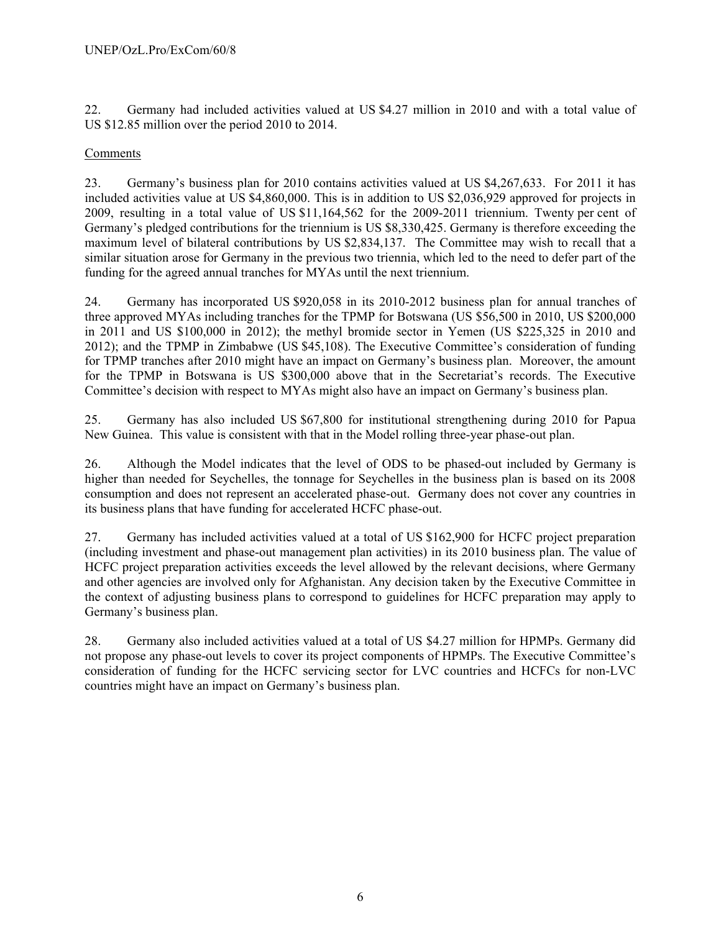22. Germany had included activities valued at US \$4.27 million in 2010 and with a total value of US \$12.85 million over the period 2010 to 2014.

## Comments

23. Germany's business plan for 2010 contains activities valued at US \$4,267,633. For 2011 it has included activities value at US \$4,860,000. This is in addition to US \$2,036,929 approved for projects in 2009, resulting in a total value of US \$11,164,562 for the 2009-2011 triennium. Twenty per cent of Germany's pledged contributions for the triennium is US \$8,330,425. Germany is therefore exceeding the maximum level of bilateral contributions by US \$2,834,137. The Committee may wish to recall that a similar situation arose for Germany in the previous two triennia, which led to the need to defer part of the funding for the agreed annual tranches for MYAs until the next triennium.

24. Germany has incorporated US \$920,058 in its 2010-2012 business plan for annual tranches of three approved MYAs including tranches for the TPMP for Botswana (US \$56,500 in 2010, US \$200,000 in 2011 and US \$100,000 in 2012); the methyl bromide sector in Yemen (US \$225,325 in 2010 and 2012); and the TPMP in Zimbabwe (US \$45,108). The Executive Committee's consideration of funding for TPMP tranches after 2010 might have an impact on Germany's business plan. Moreover, the amount for the TPMP in Botswana is US \$300,000 above that in the Secretariat's records. The Executive Committee's decision with respect to MYAs might also have an impact on Germany's business plan.

25. Germany has also included US \$67,800 for institutional strengthening during 2010 for Papua New Guinea. This value is consistent with that in the Model rolling three-year phase-out plan.

26. Although the Model indicates that the level of ODS to be phased-out included by Germany is higher than needed for Seychelles, the tonnage for Seychelles in the business plan is based on its 2008 consumption and does not represent an accelerated phase-out. Germany does not cover any countries in its business plans that have funding for accelerated HCFC phase-out.

27. Germany has included activities valued at a total of US \$162,900 for HCFC project preparation (including investment and phase-out management plan activities) in its 2010 business plan. The value of HCFC project preparation activities exceeds the level allowed by the relevant decisions, where Germany and other agencies are involved only for Afghanistan. Any decision taken by the Executive Committee in the context of adjusting business plans to correspond to guidelines for HCFC preparation may apply to Germany's business plan.

28. Germany also included activities valued at a total of US \$4.27 million for HPMPs. Germany did not propose any phase-out levels to cover its project components of HPMPs. The Executive Committee's consideration of funding for the HCFC servicing sector for LVC countries and HCFCs for non-LVC countries might have an impact on Germany's business plan.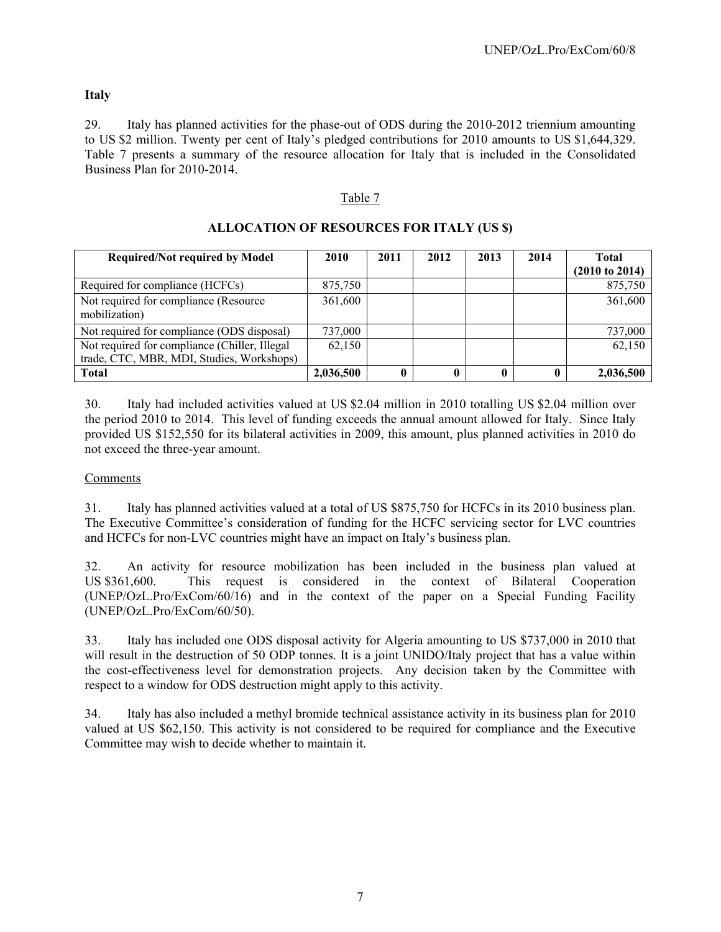## **Italy**

29. Italy has planned activities for the phase-out of ODS during the 2010-2012 triennium amounting to US \$2 million. Twenty per cent of Italy's pledged contributions for 2010 amounts to US \$1,644,329. Table 7 presents a summary of the resource allocation for Italy that is included in the Consolidated Business Plan for 2010-2014.

## Table 7

| <b>Required/Not required by Model</b>                                                      | 2010      | 2011        | 2012 | 2013 | 2014 | <b>Total</b><br>(2010 to 2014) |
|--------------------------------------------------------------------------------------------|-----------|-------------|------|------|------|--------------------------------|
| Required for compliance (HCFCs)                                                            | 875,750   |             |      |      |      | 875,750                        |
| Not required for compliance (Resource<br>mobilization)                                     | 361,600   |             |      |      |      | 361,600                        |
| Not required for compliance (ODS disposal)                                                 | 737,000   |             |      |      |      | 737,000                        |
| Not required for compliance (Chiller, Illegal<br>trade, CTC, MBR, MDI, Studies, Workshops) | 62.150    |             |      |      |      | 62,150                         |
| <b>Total</b>                                                                               | 2,036,500 | $\mathbf 0$ |      |      |      | 2,036,500                      |

## **ALLOCATION OF RESOURCES FOR ITALY (US \$)**

30. Italy had included activities valued at US \$2.04 million in 2010 totalling US \$2.04 million over the period 2010 to 2014. This level of funding exceeds the annual amount allowed for Italy. Since Italy provided US \$152,550 for its bilateral activities in 2009, this amount, plus planned activities in 2010 do not exceed the three-year amount.

#### Comments

31. Italy has planned activities valued at a total of US \$875,750 for HCFCs in its 2010 business plan. The Executive Committee's consideration of funding for the HCFC servicing sector for LVC countries and HCFCs for non-LVC countries might have an impact on Italy's business plan.

32. An activity for resource mobilization has been included in the business plan valued at US \$361,600. This request is considered in the context of Bilateral Cooperation (UNEP/OzL.Pro/ExCom/60/16) and in the context of the paper on a Special Funding Facility (UNEP/OzL.Pro/ExCom/60/50).

33. Italy has included one ODS disposal activity for Algeria amounting to US \$737,000 in 2010 that will result in the destruction of 50 ODP tonnes. It is a joint UNIDO/Italy project that has a value within the cost-effectiveness level for demonstration projects. Any decision taken by the Committee with respect to a window for ODS destruction might apply to this activity.

34. Italy has also included a methyl bromide technical assistance activity in its business plan for 2010 valued at US \$62,150. This activity is not considered to be required for compliance and the Executive Committee may wish to decide whether to maintain it.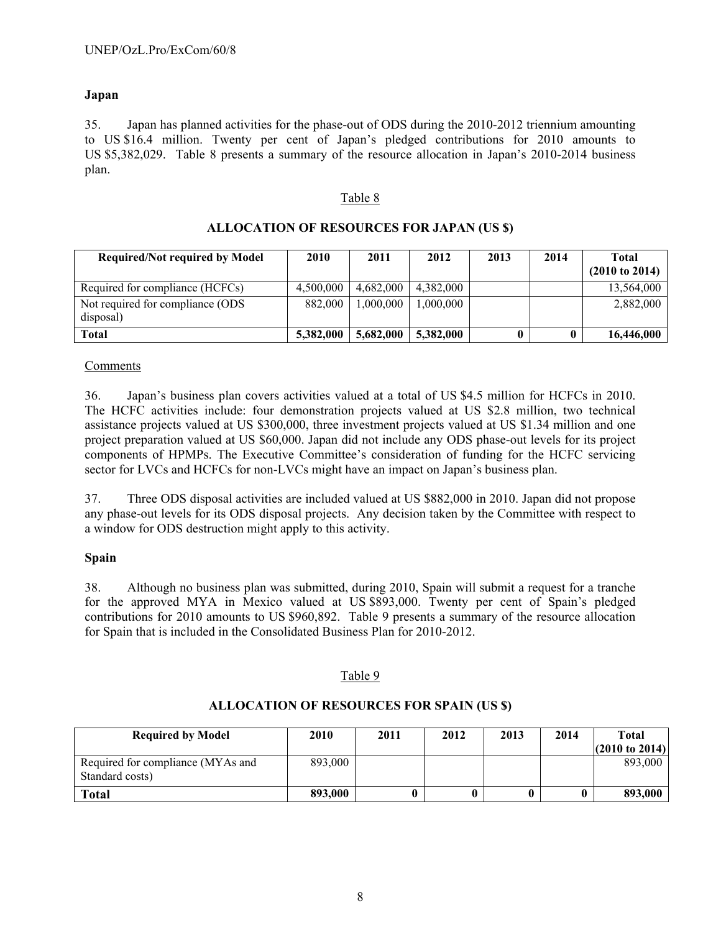## **Japan**

35. Japan has planned activities for the phase-out of ODS during the 2010-2012 triennium amounting to US \$16.4 million. Twenty per cent of Japan's pledged contributions for 2010 amounts to US \$5,382,029. Table 8 presents a summary of the resource allocation in Japan's 2010-2014 business plan.

#### Table 8

| <b>Required/Not required by Model</b>          | 2010      | 2011      | 2012      | 2013 | 2014 | Total<br>$(2010 \text{ to } 2014)$ |
|------------------------------------------------|-----------|-----------|-----------|------|------|------------------------------------|
| Required for compliance (HCFCs)                | 4.500,000 | 4.682,000 | 4.382,000 |      |      | 13,564,000                         |
| Not required for compliance (ODS)<br>disposal) | 882,000   | .000.000  | 1,000,000 |      |      | 2,882,000                          |
| <b>Total</b>                                   | 5,382,000 | 5,682,000 | 5,382,000 |      |      | 16,446,000                         |

#### **ALLOCATION OF RESOURCES FOR JAPAN (US \$)**

#### Comments

36. Japan's business plan covers activities valued at a total of US \$4.5 million for HCFCs in 2010. The HCFC activities include: four demonstration projects valued at US \$2.8 million, two technical assistance projects valued at US \$300,000, three investment projects valued at US \$1.34 million and one project preparation valued at US \$60,000. Japan did not include any ODS phase-out levels for its project components of HPMPs. The Executive Committee's consideration of funding for the HCFC servicing sector for LVCs and HCFCs for non-LVCs might have an impact on Japan's business plan.

37. Three ODS disposal activities are included valued at US \$882,000 in 2010. Japan did not propose any phase-out levels for its ODS disposal projects. Any decision taken by the Committee with respect to a window for ODS destruction might apply to this activity.

#### **Spain**

38. Although no business plan was submitted, during 2010, Spain will submit a request for a tranche for the approved MYA in Mexico valued at US \$893,000. Twenty per cent of Spain's pledged contributions for 2010 amounts to US \$960,892. Table 9 presents a summary of the resource allocation for Spain that is included in the Consolidated Business Plan for 2010-2012.

#### Table 9

#### **ALLOCATION OF RESOURCES FOR SPAIN (US \$)**

| <b>Required by Model</b>                             | 2010    | 2011 | 2012 | 2013 | 2014 | Total<br>$(2010 \text{ to } 2014)$ |
|------------------------------------------------------|---------|------|------|------|------|------------------------------------|
| Required for compliance (MYAs and<br>Standard costs) | 893,000 |      |      |      |      | 893,000                            |
| Total                                                | 893,000 |      |      |      |      | 893,000                            |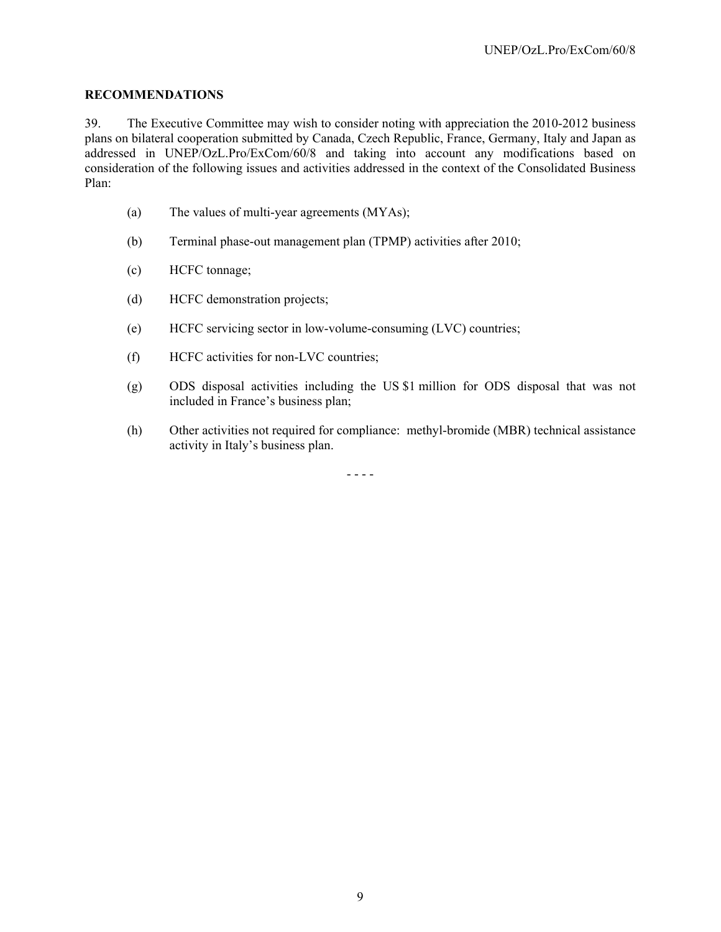## **RECOMMENDATIONS**

39. The Executive Committee may wish to consider noting with appreciation the 2010-2012 business plans on bilateral cooperation submitted by Canada, Czech Republic, France, Germany, Italy and Japan as addressed in UNEP/OzL.Pro/ExCom/60/8 and taking into account any modifications based on consideration of the following issues and activities addressed in the context of the Consolidated Business Plan:

- (a) The values of multi-year agreements (MYAs);
- (b) Terminal phase-out management plan (TPMP) activities after 2010;
- (c) HCFC tonnage;
- (d) HCFC demonstration projects;
- (e) HCFC servicing sector in low-volume-consuming (LVC) countries;
- (f) HCFC activities for non-LVC countries;
- (g) ODS disposal activities including the US \$1 million for ODS disposal that was not included in France's business plan;
- (h) Other activities not required for compliance: methyl-bromide (MBR) technical assistance activity in Italy's business plan.

- - - -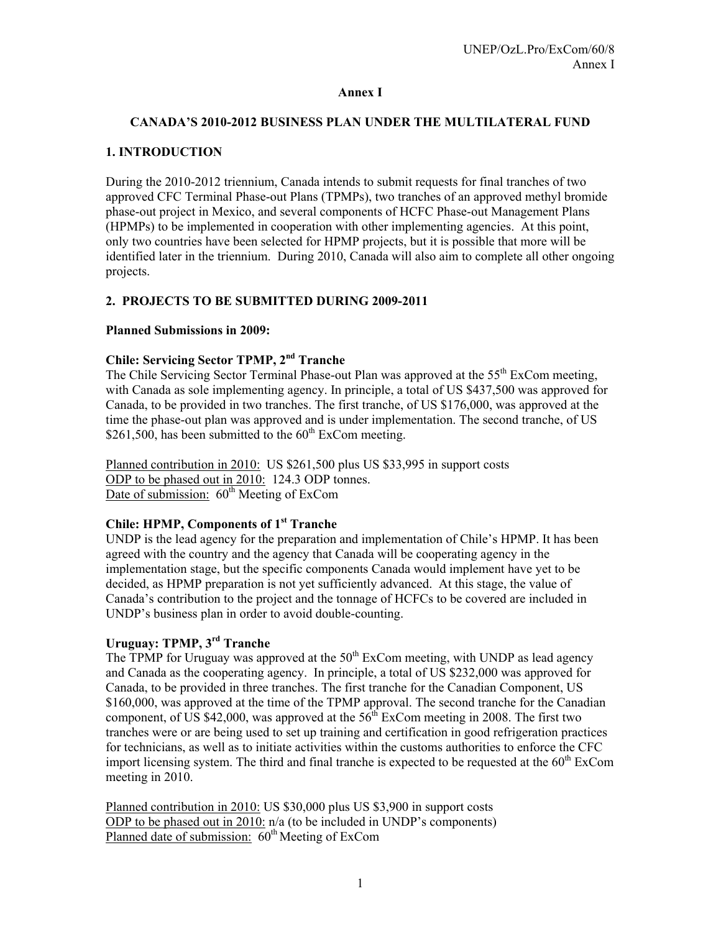#### **Annex I**

## **CANADA'S 2010-2012 BUSINESS PLAN UNDER THE MULTILATERAL FUND**

## **1. INTRODUCTION**

During the 2010-2012 triennium, Canada intends to submit requests for final tranches of two approved CFC Terminal Phase-out Plans (TPMPs), two tranches of an approved methyl bromide phase-out project in Mexico, and several components of HCFC Phase-out Management Plans (HPMPs) to be implemented in cooperation with other implementing agencies. At this point, only two countries have been selected for HPMP projects, but it is possible that more will be identified later in the triennium. During 2010, Canada will also aim to complete all other ongoing projects.

## **2. PROJECTS TO BE SUBMITTED DURING 2009-2011**

#### **Planned Submissions in 2009:**

# **Chile: Servicing Sector TPMP, 2nd Tranche**

The Chile Servicing Sector Terminal Phase-out Plan was approved at the 55<sup>th</sup> ExCom meeting, with Canada as sole implementing agency. In principle, a total of US \$437,500 was approved for Canada, to be provided in two tranches. The first tranche, of US \$176,000, was approved at the time the phase-out plan was approved and is under implementation. The second tranche, of US \$261,500, has been submitted to the  $60<sup>th</sup>$  ExCom meeting.

Planned contribution in 2010: US \$261,500 plus US \$33,995 in support costs ODP to be phased out in 2010: 124.3 ODP tonnes. Date of submission:  $60<sup>th</sup>$  Meeting of ExCom

## **Chile: HPMP, Components of 1st Tranche**

UNDP is the lead agency for the preparation and implementation of Chile's HPMP. It has been agreed with the country and the agency that Canada will be cooperating agency in the implementation stage, but the specific components Canada would implement have yet to be decided, as HPMP preparation is not yet sufficiently advanced. At this stage, the value of Canada's contribution to the project and the tonnage of HCFCs to be covered are included in UNDP's business plan in order to avoid double-counting.

# **Uruguay: TPMP, 3rd Tranche**

The TPMP for Uruguay was approved at the  $50<sup>th</sup>$  ExCom meeting, with UNDP as lead agency and Canada as the cooperating agency. In principle, a total of US \$232,000 was approved for Canada, to be provided in three tranches. The first tranche for the Canadian Component, US \$160,000, was approved at the time of the TPMP approval. The second tranche for the Canadian component, of US \$42,000, was approved at the  $56^{th}$  ExCom meeting in 2008. The first two tranches were or are being used to set up training and certification in good refrigeration practices for technicians, as well as to initiate activities within the customs authorities to enforce the CFC import licensing system. The third and final tranche is expected to be requested at the  $60<sup>th</sup>$  ExCom meeting in 2010.

Planned contribution in 2010: US \$30,000 plus US \$3,900 in support costs ODP to be phased out in 2010: n/a (to be included in UNDP's components) Planned date of submission:  $60<sup>th</sup>$  Meeting of ExCom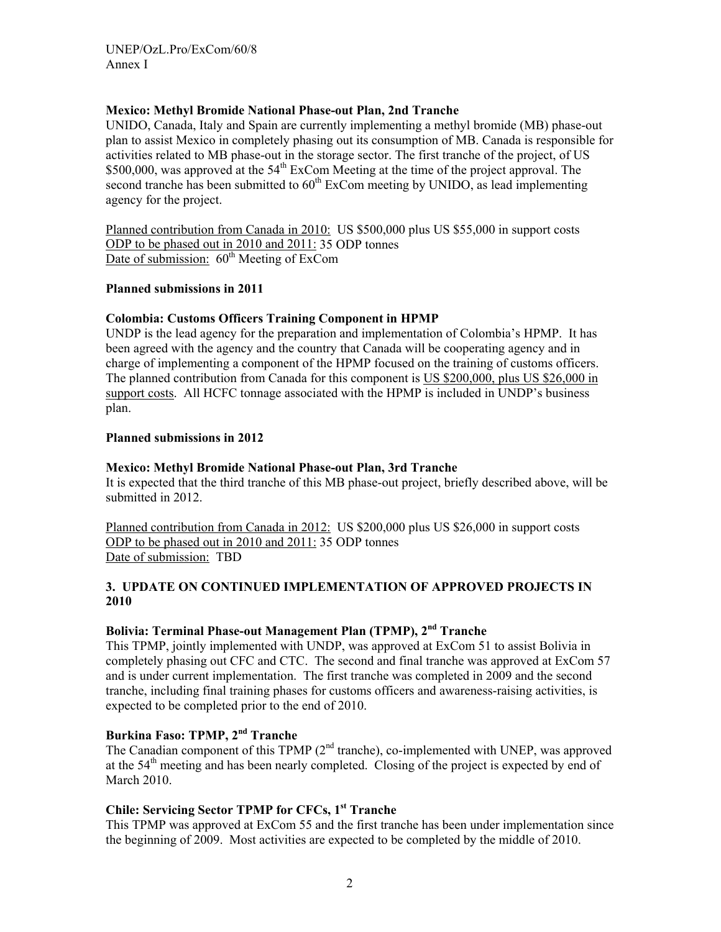## **Mexico: Methyl Bromide National Phase-out Plan, 2nd Tranche**

UNIDO, Canada, Italy and Spain are currently implementing a methyl bromide (MB) phase-out plan to assist Mexico in completely phasing out its consumption of MB. Canada is responsible for activities related to MB phase-out in the storage sector. The first tranche of the project, of US \$500,000, was approved at the  $54<sup>th</sup>$  ExCom Meeting at the time of the project approval. The second tranche has been submitted to  $60<sup>th</sup>$  ExCom meeting by UNIDO, as lead implementing agency for the project.

Planned contribution from Canada in 2010: US \$500,000 plus US \$55,000 in support costs ODP to be phased out in 2010 and 2011: 35 ODP tonnes Date of submission:  $60<sup>th</sup>$  Meeting of ExCom

## **Planned submissions in 2011**

## **Colombia: Customs Officers Training Component in HPMP**

UNDP is the lead agency for the preparation and implementation of Colombia's HPMP. It has been agreed with the agency and the country that Canada will be cooperating agency and in charge of implementing a component of the HPMP focused on the training of customs officers. The planned contribution from Canada for this component is US \$200,000, plus US \$26,000 in support costs. All HCFC tonnage associated with the HPMP is included in UNDP's business plan.

## **Planned submissions in 2012**

#### **Mexico: Methyl Bromide National Phase-out Plan, 3rd Tranche**

It is expected that the third tranche of this MB phase-out project, briefly described above, will be submitted in 2012.

Planned contribution from Canada in 2012: US \$200,000 plus US \$26,000 in support costs ODP to be phased out in 2010 and 2011: 35 ODP tonnes Date of submission: TBD

#### **3. UPDATE ON CONTINUED IMPLEMENTATION OF APPROVED PROJECTS IN 2010**

## **Bolivia: Terminal Phase-out Management Plan (TPMP), 2nd Tranche**

This TPMP, jointly implemented with UNDP, was approved at ExCom 51 to assist Bolivia in completely phasing out CFC and CTC. The second and final tranche was approved at ExCom 57 and is under current implementation. The first tranche was completed in 2009 and the second tranche, including final training phases for customs officers and awareness-raising activities, is expected to be completed prior to the end of 2010.

## **Burkina Faso: TPMP, 2nd Tranche**

The Canadian component of this TPMP (2<sup>nd</sup> tranche), co-implemented with UNEP, was approved at the 54<sup>th</sup> meeting and has been nearly completed. Closing of the project is expected by end of March 2010.

# **Chile: Servicing Sector TPMP for CFCs, 1st Tranche**

This TPMP was approved at ExCom 55 and the first tranche has been under implementation since the beginning of 2009. Most activities are expected to be completed by the middle of 2010.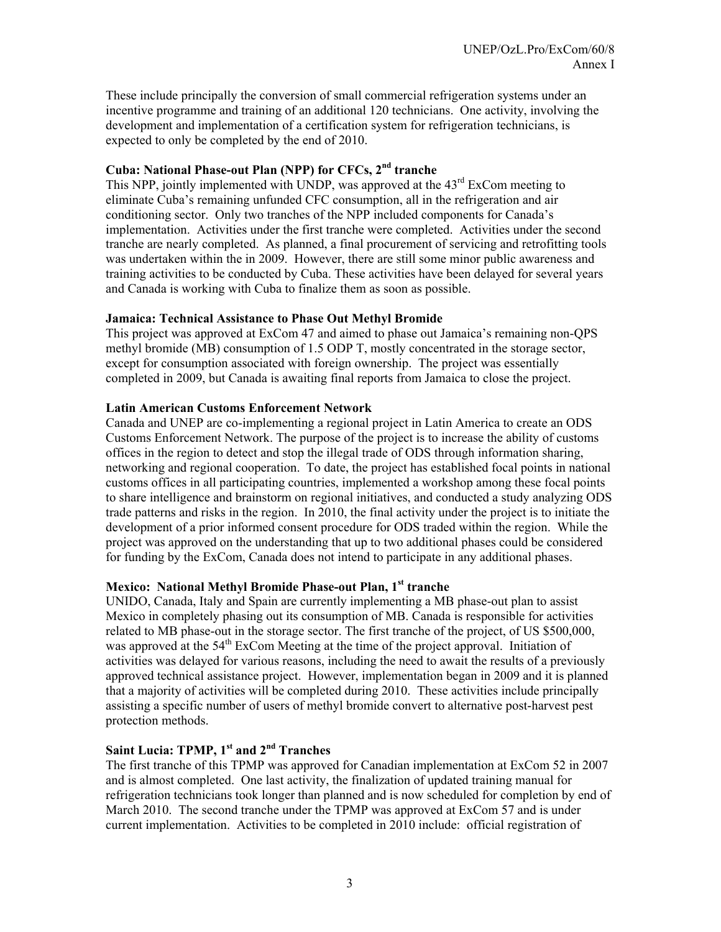These include principally the conversion of small commercial refrigeration systems under an incentive programme and training of an additional 120 technicians. One activity, involving the development and implementation of a certification system for refrigeration technicians, is expected to only be completed by the end of 2010.

## **Cuba: National Phase-out Plan (NPP) for CFCs, 2nd tranche**

This NPP, jointly implemented with UNDP, was approved at the 43<sup>rd</sup> ExCom meeting to eliminate Cuba's remaining unfunded CFC consumption, all in the refrigeration and air conditioning sector. Only two tranches of the NPP included components for Canada's implementation. Activities under the first tranche were completed. Activities under the second tranche are nearly completed. As planned, a final procurement of servicing and retrofitting tools was undertaken within the in 2009. However, there are still some minor public awareness and training activities to be conducted by Cuba. These activities have been delayed for several years and Canada is working with Cuba to finalize them as soon as possible.

#### **Jamaica: Technical Assistance to Phase Out Methyl Bromide**

This project was approved at ExCom 47 and aimed to phase out Jamaica's remaining non-QPS methyl bromide (MB) consumption of 1.5 ODP T, mostly concentrated in the storage sector, except for consumption associated with foreign ownership. The project was essentially completed in 2009, but Canada is awaiting final reports from Jamaica to close the project.

## **Latin American Customs Enforcement Network**

Canada and UNEP are co-implementing a regional project in Latin America to create an ODS Customs Enforcement Network. The purpose of the project is to increase the ability of customs offices in the region to detect and stop the illegal trade of ODS through information sharing, networking and regional cooperation. To date, the project has established focal points in national customs offices in all participating countries, implemented a workshop among these focal points to share intelligence and brainstorm on regional initiatives, and conducted a study analyzing ODS trade patterns and risks in the region. In 2010, the final activity under the project is to initiate the development of a prior informed consent procedure for ODS traded within the region. While the project was approved on the understanding that up to two additional phases could be considered for funding by the ExCom, Canada does not intend to participate in any additional phases.

## **Mexico: National Methyl Bromide Phase-out Plan, 1st tranche**

UNIDO, Canada, Italy and Spain are currently implementing a MB phase-out plan to assist Mexico in completely phasing out its consumption of MB. Canada is responsible for activities related to MB phase-out in the storage sector. The first tranche of the project, of US \$500,000, was approved at the 54<sup>th</sup> ExCom Meeting at the time of the project approval. Initiation of activities was delayed for various reasons, including the need to await the results of a previously approved technical assistance project. However, implementation began in 2009 and it is planned that a majority of activities will be completed during 2010. These activities include principally assisting a specific number of users of methyl bromide convert to alternative post-harvest pest protection methods.

# **Saint Lucia: TPMP, 1st and 2nd Tranches**

The first tranche of this TPMP was approved for Canadian implementation at ExCom 52 in 2007 and is almost completed. One last activity, the finalization of updated training manual for refrigeration technicians took longer than planned and is now scheduled for completion by end of March 2010. The second tranche under the TPMP was approved at ExCom 57 and is under current implementation. Activities to be completed in 2010 include: official registration of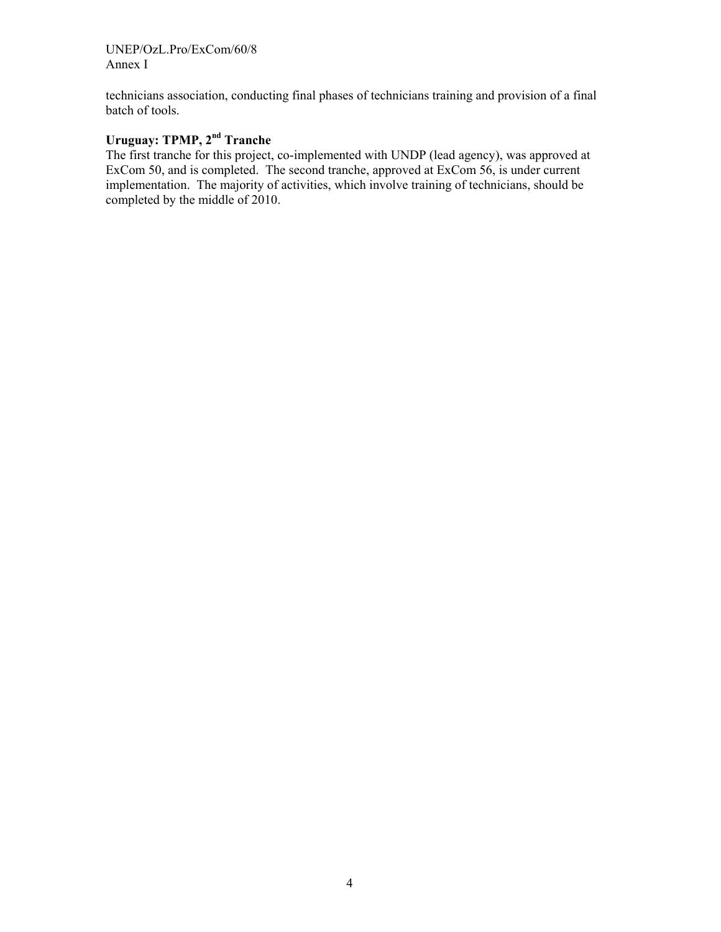UNEP/OzL.Pro/ExCom/60/8 Annex I

technicians association, conducting final phases of technicians training and provision of a final batch of tools.

# **Uruguay: TPMP, 2nd Tranche**

The first tranche for this project, co-implemented with UNDP (lead agency), was approved at ExCom 50, and is completed. The second tranche, approved at ExCom 56, is under current implementation. The majority of activities, which involve training of technicians, should be completed by the middle of 2010.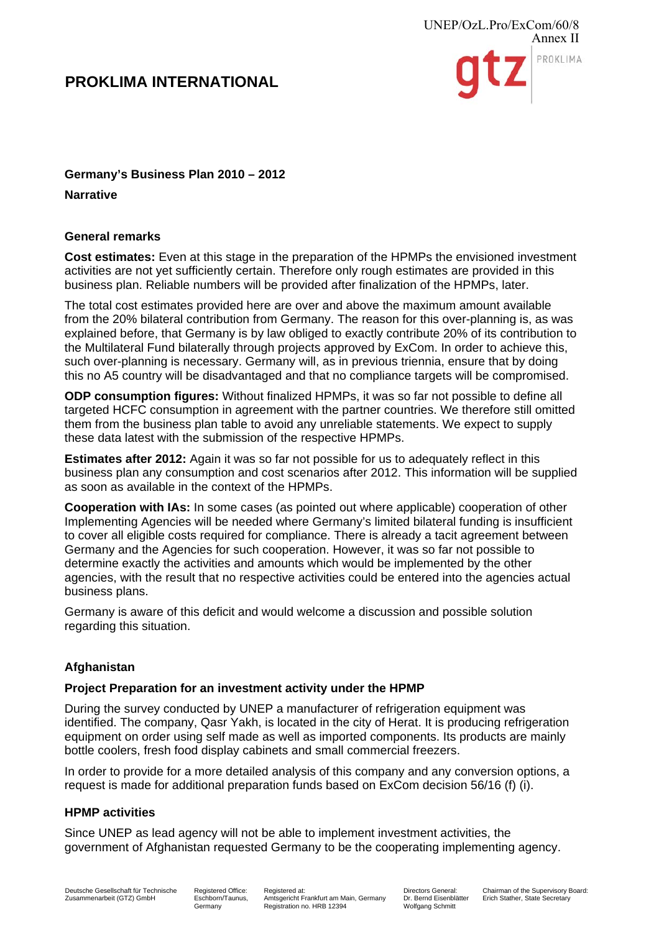

# **Germany's Business Plan 2010 – 2012**

**Narrative** 

## **General remarks**

**Cost estimates:** Even at this stage in the preparation of the HPMPs the envisioned investment activities are not yet sufficiently certain. Therefore only rough estimates are provided in this business plan. Reliable numbers will be provided after finalization of the HPMPs, later.

The total cost estimates provided here are over and above the maximum amount available from the 20% bilateral contribution from Germany. The reason for this over-planning is, as was explained before, that Germany is by law obliged to exactly contribute 20% of its contribution to the Multilateral Fund bilaterally through projects approved by ExCom. In order to achieve this, such over-planning is necessary. Germany will, as in previous triennia, ensure that by doing this no A5 country will be disadvantaged and that no compliance targets will be compromised.

**ODP consumption figures:** Without finalized HPMPs, it was so far not possible to define all targeted HCFC consumption in agreement with the partner countries. We therefore still omitted them from the business plan table to avoid any unreliable statements. We expect to supply these data latest with the submission of the respective HPMPs.

**Estimates after 2012:** Again it was so far not possible for us to adequately reflect in this business plan any consumption and cost scenarios after 2012. This information will be supplied as soon as available in the context of the HPMPs.

**Cooperation with IAs:** In some cases (as pointed out where applicable) cooperation of other Implementing Agencies will be needed where Germany's limited bilateral funding is insufficient to cover all eligible costs required for compliance. There is already a tacit agreement between Germany and the Agencies for such cooperation. However, it was so far not possible to determine exactly the activities and amounts which would be implemented by the other agencies, with the result that no respective activities could be entered into the agencies actual business plans.

Germany is aware of this deficit and would welcome a discussion and possible solution regarding this situation.

# **Afghanistan**

## **Project Preparation for an investment activity under the HPMP**

During the survey conducted by UNEP a manufacturer of refrigeration equipment was identified. The company, Qasr Yakh, is located in the city of Herat. It is producing refrigeration equipment on order using self made as well as imported components. Its products are mainly bottle coolers, fresh food display cabinets and small commercial freezers.

In order to provide for a more detailed analysis of this company and any conversion options, a request is made for additional preparation funds based on ExCom decision 56/16 (f) (i).

## **HPMP activities**

Since UNEP as lead agency will not be able to implement investment activities, the government of Afghanistan requested Germany to be the cooperating implementing agency.

Registered Office: Eschborn/Taunus, **Germany** 

Registered at: Amtsgericht Frankfurt am Main, Germany Registration no. HRB 12394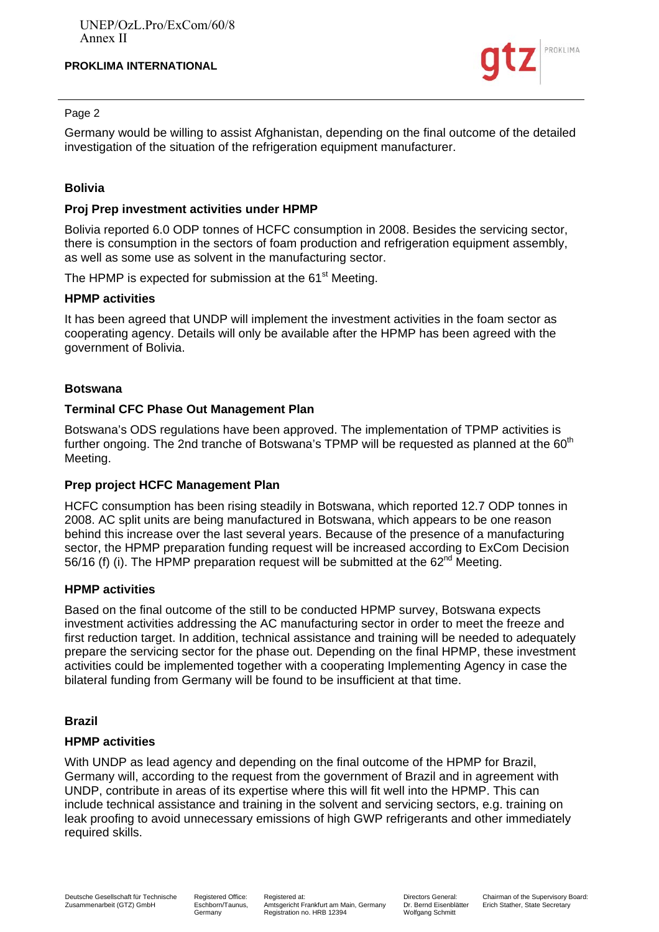

#### Page 2

Germany would be willing to assist Afghanistan, depending on the final outcome of the detailed investigation of the situation of the refrigeration equipment manufacturer.

## **Bolivia**

## **Proj Prep investment activities under HPMP**

Bolivia reported 6.0 ODP tonnes of HCFC consumption in 2008. Besides the servicing sector, there is consumption in the sectors of foam production and refrigeration equipment assembly, as well as some use as solvent in the manufacturing sector.

The HPMP is expected for submission at the 61<sup>st</sup> Meeting.

## **HPMP activities**

It has been agreed that UNDP will implement the investment activities in the foam sector as cooperating agency. Details will only be available after the HPMP has been agreed with the government of Bolivia.

#### **Botswana**

## **Terminal CFC Phase Out Management Plan**

Botswana's ODS regulations have been approved. The implementation of TPMP activities is further ongoing. The 2nd tranche of Botswana's TPMP will be requested as planned at the  $60<sup>th</sup>$ Meeting.

#### **Prep project HCFC Management Plan**

HCFC consumption has been rising steadily in Botswana, which reported 12.7 ODP tonnes in 2008. AC split units are being manufactured in Botswana, which appears to be one reason behind this increase over the last several years. Because of the presence of a manufacturing sector, the HPMP preparation funding request will be increased according to ExCom Decision 56/16 (f) (i). The HPMP preparation request will be submitted at the  $62<sup>nd</sup>$  Meeting.

## **HPMP activities**

Based on the final outcome of the still to be conducted HPMP survey, Botswana expects investment activities addressing the AC manufacturing sector in order to meet the freeze and first reduction target. In addition, technical assistance and training will be needed to adequately prepare the servicing sector for the phase out. Depending on the final HPMP, these investment activities could be implemented together with a cooperating Implementing Agency in case the bilateral funding from Germany will be found to be insufficient at that time.

## **Brazil**

## **HPMP activities**

With UNDP as lead agency and depending on the final outcome of the HPMP for Brazil, Germany will, according to the request from the government of Brazil and in agreement with UNDP, contribute in areas of its expertise where this will fit well into the HPMP. This can include technical assistance and training in the solvent and servicing sectors, e.g. training on leak proofing to avoid unnecessary emissions of high GWP refrigerants and other immediately required skills.

Registered Office: Eschborn/Taunus, Germany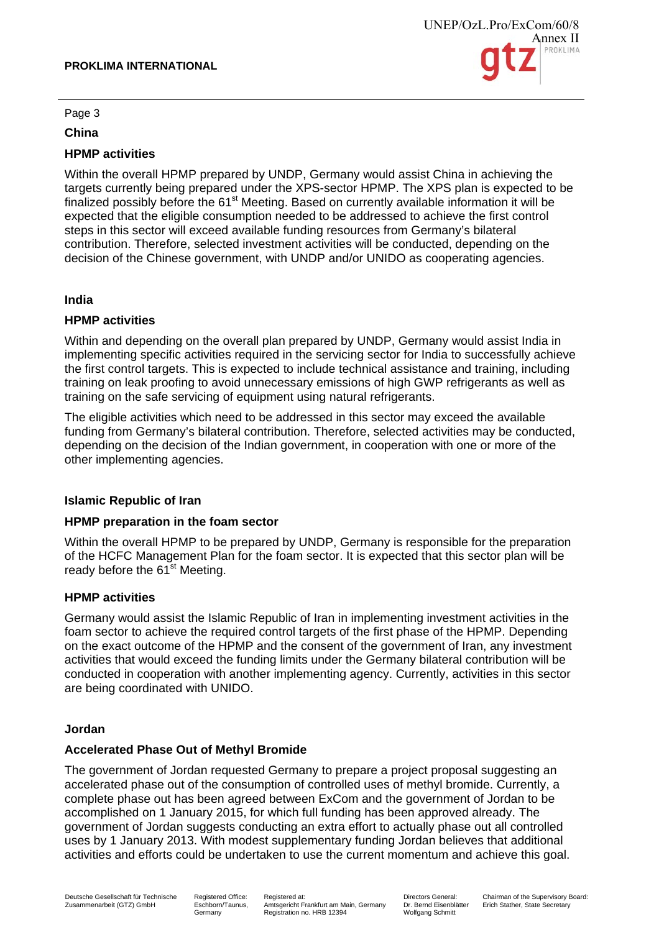

Page 3

## **China**

# **HPMP activities**

Within the overall HPMP prepared by UNDP, Germany would assist China in achieving the targets currently being prepared under the XPS-sector HPMP. The XPS plan is expected to be finalized possibly before the  $61<sup>st</sup>$  Meeting. Based on currently available information it will be expected that the eligible consumption needed to be addressed to achieve the first control steps in this sector will exceed available funding resources from Germany's bilateral contribution. Therefore, selected investment activities will be conducted, depending on the decision of the Chinese government, with UNDP and/or UNIDO as cooperating agencies.

#### **India**

## **HPMP activities**

Within and depending on the overall plan prepared by UNDP, Germany would assist India in implementing specific activities required in the servicing sector for India to successfully achieve the first control targets. This is expected to include technical assistance and training, including training on leak proofing to avoid unnecessary emissions of high GWP refrigerants as well as training on the safe servicing of equipment using natural refrigerants.

The eligible activities which need to be addressed in this sector may exceed the available funding from Germany's bilateral contribution. Therefore, selected activities may be conducted, depending on the decision of the Indian government, in cooperation with one or more of the other implementing agencies.

## **Islamic Republic of Iran**

#### **HPMP preparation in the foam sector**

Within the overall HPMP to be prepared by UNDP, Germany is responsible for the preparation of the HCFC Management Plan for the foam sector. It is expected that this sector plan will be ready before the 61<sup>st</sup> Meeting.

## **HPMP activities**

Germany would assist the Islamic Republic of Iran in implementing investment activities in the foam sector to achieve the required control targets of the first phase of the HPMP. Depending on the exact outcome of the HPMP and the consent of the government of Iran, any investment activities that would exceed the funding limits under the Germany bilateral contribution will be conducted in cooperation with another implementing agency. Currently, activities in this sector are being coordinated with UNIDO.

#### **Jordan**

## **Accelerated Phase Out of Methyl Bromide**

The government of Jordan requested Germany to prepare a project proposal suggesting an accelerated phase out of the consumption of controlled uses of methyl bromide. Currently, a complete phase out has been agreed between ExCom and the government of Jordan to be accomplished on 1 January 2015, for which full funding has been approved already. The government of Jordan suggests conducting an extra effort to actually phase out all controlled uses by 1 January 2013. With modest supplementary funding Jordan believes that additional activities and efforts could be undertaken to use the current momentum and achieve this goal.

Registered Office: Eschborn/Taunus, Germany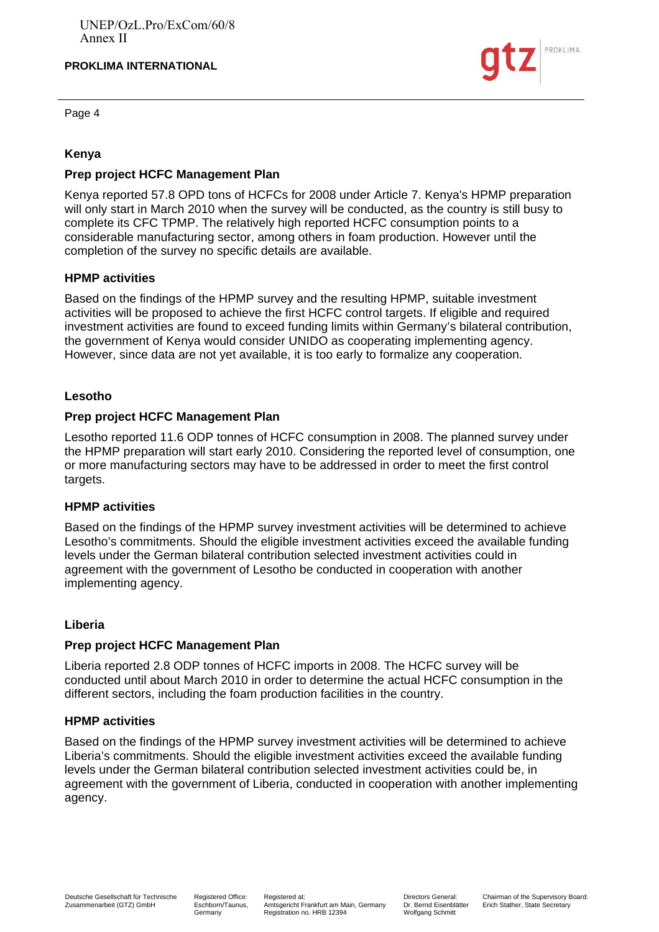



## **Kenya**

## **Prep project HCFC Management Plan**

Kenya reported 57.8 OPD tons of HCFCs for 2008 under Article 7. Kenya's HPMP preparation will only start in March 2010 when the survey will be conducted, as the country is still busy to complete its CFC TPMP. The relatively high reported HCFC consumption points to a considerable manufacturing sector, among others in foam production. However until the completion of the survey no specific details are available.

## **HPMP activities**

Based on the findings of the HPMP survey and the resulting HPMP, suitable investment activities will be proposed to achieve the first HCFC control targets. If eligible and required investment activities are found to exceed funding limits within Germany's bilateral contribution, the government of Kenya would consider UNIDO as cooperating implementing agency. However, since data are not yet available, it is too early to formalize any cooperation.

## **Lesotho**

## **Prep project HCFC Management Plan**

Lesotho reported 11.6 ODP tonnes of HCFC consumption in 2008. The planned survey under the HPMP preparation will start early 2010. Considering the reported level of consumption, one or more manufacturing sectors may have to be addressed in order to meet the first control targets.

#### **HPMP activities**

Based on the findings of the HPMP survey investment activities will be determined to achieve Lesotho's commitments. Should the eligible investment activities exceed the available funding levels under the German bilateral contribution selected investment activities could in agreement with the government of Lesotho be conducted in cooperation with another implementing agency.

## **Liberia**

## **Prep project HCFC Management Plan**

Liberia reported 2.8 ODP tonnes of HCFC imports in 2008. The HCFC survey will be conducted until about March 2010 in order to determine the actual HCFC consumption in the different sectors, including the foam production facilities in the country.

#### **HPMP activities**

Based on the findings of the HPMP survey investment activities will be determined to achieve Liberia's commitments. Should the eligible investment activities exceed the available funding levels under the German bilateral contribution selected investment activities could be, in agreement with the government of Liberia, conducted in cooperation with another implementing agency.

Registered Office: Eschborn/Taunus, Germany

Directors General: Dr. Bernd Eisenblätter Wolfgang Schmitt

PROKLIMA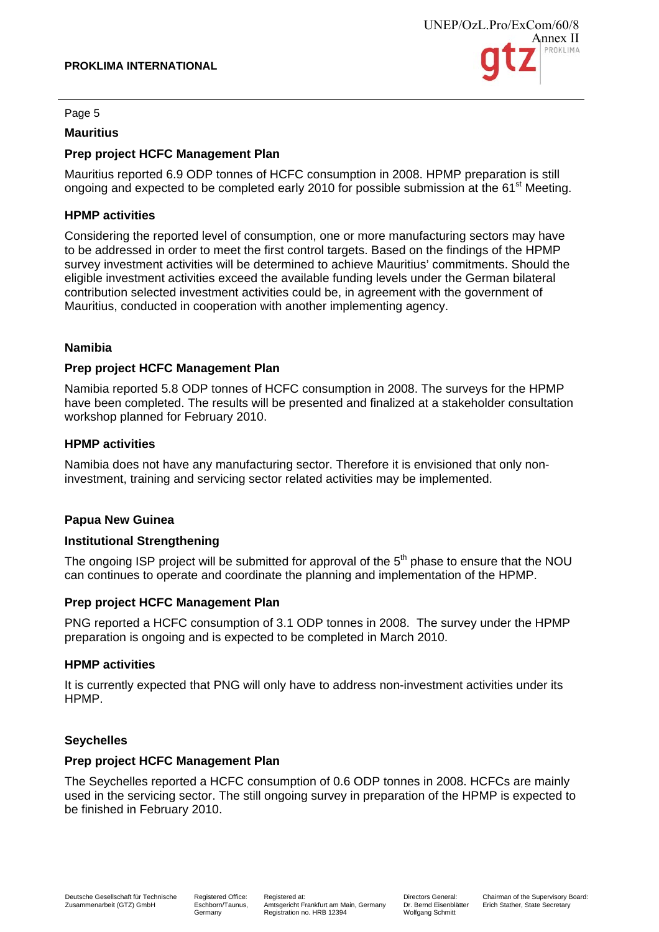

#### Page 5

#### **Mauritius**

## **Prep project HCFC Management Plan**

Mauritius reported 6.9 ODP tonnes of HCFC consumption in 2008. HPMP preparation is still ongoing and expected to be completed early 2010 for possible submission at the 61<sup>st</sup> Meeting.

## **HPMP activities**

Considering the reported level of consumption, one or more manufacturing sectors may have to be addressed in order to meet the first control targets. Based on the findings of the HPMP survey investment activities will be determined to achieve Mauritius' commitments. Should the eligible investment activities exceed the available funding levels under the German bilateral contribution selected investment activities could be, in agreement with the government of Mauritius, conducted in cooperation with another implementing agency.

## **Namibia**

## **Prep project HCFC Management Plan**

Namibia reported 5.8 ODP tonnes of HCFC consumption in 2008. The surveys for the HPMP have been completed. The results will be presented and finalized at a stakeholder consultation workshop planned for February 2010.

## **HPMP activities**

Namibia does not have any manufacturing sector. Therefore it is envisioned that only noninvestment, training and servicing sector related activities may be implemented.

## **Papua New Guinea**

#### **Institutional Strengthening**

The ongoing ISP project will be submitted for approval of the  $5<sup>th</sup>$  phase to ensure that the NOU can continues to operate and coordinate the planning and implementation of the HPMP.

#### **Prep project HCFC Management Plan**

PNG reported a HCFC consumption of 3.1 ODP tonnes in 2008. The survey under the HPMP preparation is ongoing and is expected to be completed in March 2010.

#### **HPMP activities**

It is currently expected that PNG will only have to address non-investment activities under its HPMP.

#### **Seychelles**

## **Prep project HCFC Management Plan**

The Seychelles reported a HCFC consumption of 0.6 ODP tonnes in 2008. HCFCs are mainly used in the servicing sector. The still ongoing survey in preparation of the HPMP is expected to be finished in February 2010.

Registered Office: Eschborn/Taunus, Germany